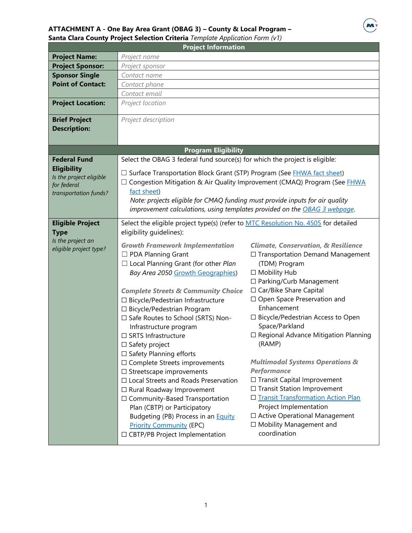## **ATTACHMENT A - One Bay Area Grant (OBAG 3) – County & Local Program – Santa Clara County Project Selection Criteria** *Template Application Form (v1)*



| <b>Project Information</b>                  |                                                                                    |                                                                     |  |  |  |
|---------------------------------------------|------------------------------------------------------------------------------------|---------------------------------------------------------------------|--|--|--|
| <b>Project Name:</b>                        | Project name                                                                       |                                                                     |  |  |  |
| <b>Project Sponsor:</b>                     | Project sponsor                                                                    |                                                                     |  |  |  |
| <b>Sponsor Single</b>                       | Contact name                                                                       |                                                                     |  |  |  |
| <b>Point of Contact:</b>                    | Contact phone                                                                      |                                                                     |  |  |  |
|                                             | Contact email                                                                      |                                                                     |  |  |  |
| <b>Project Location:</b>                    | Project location                                                                   |                                                                     |  |  |  |
| <b>Brief Project</b><br><b>Description:</b> | Project description                                                                |                                                                     |  |  |  |
|                                             | <b>Program Eligibility</b>                                                         |                                                                     |  |  |  |
| <b>Federal Fund</b>                         | Select the OBAG 3 federal fund source(s) for which the project is eligible:        |                                                                     |  |  |  |
| <b>Eligibility</b>                          | □ Surface Transportation Block Grant (STP) Program (See FHWA fact sheet)           |                                                                     |  |  |  |
| Is the project eligible                     | □ Congestion Mitigation & Air Quality Improvement (CMAQ) Program (See FHWA         |                                                                     |  |  |  |
| for federal                                 | fact sheet)                                                                        |                                                                     |  |  |  |
| transportation funds?                       | Note: projects eligible for CMAQ funding must provide inputs for air quality       |                                                                     |  |  |  |
|                                             | improvement calculations, using templates provided on the OBAG 3 webpage.          |                                                                     |  |  |  |
|                                             |                                                                                    |                                                                     |  |  |  |
| <b>Eligible Project</b>                     | Select the eligible project type(s) (refer to MTC Resolution No. 4505 for detailed |                                                                     |  |  |  |
| <b>Type</b>                                 | eligibility guidelines):                                                           |                                                                     |  |  |  |
| Is the project an<br>eligible project type? | <b>Growth Framework Implementation</b>                                             | <b>Climate, Conservation, &amp; Resilience</b>                      |  |  |  |
|                                             | □ PDA Planning Grant                                                               | □ Transportation Demand Management                                  |  |  |  |
|                                             | $\Box$ Local Planning Grant (for other Plan                                        | (TDM) Program                                                       |  |  |  |
|                                             | Bay Area 2050 Growth Geographies)                                                  | □ Mobility Hub                                                      |  |  |  |
|                                             |                                                                                    | □ Parking/Curb Management                                           |  |  |  |
|                                             | <b>Complete Streets &amp; Community Choice</b>                                     | □ Car/Bike Share Capital                                            |  |  |  |
|                                             | □ Bicycle/Pedestrian Infrastructure                                                | □ Open Space Preservation and                                       |  |  |  |
|                                             | □ Bicycle/Pedestrian Program                                                       | Enhancement                                                         |  |  |  |
|                                             | □ Safe Routes to School (SRTS) Non-                                                | □ Bicycle/Pedestrian Access to Open                                 |  |  |  |
|                                             | Infrastructure program                                                             | Space/Parkland                                                      |  |  |  |
|                                             | □ SRTS Infrastructure                                                              | $\Box$ Regional Advance Mitigation Planning                         |  |  |  |
|                                             | $\Box$ Safety project                                                              | (RAMP)                                                              |  |  |  |
|                                             | $\Box$ Safety Planning efforts                                                     |                                                                     |  |  |  |
|                                             | $\Box$ Complete Streets improvements                                               | <b>Multimodal Systems Operations &amp;</b>                          |  |  |  |
|                                             | $\Box$ Streetscape improvements                                                    | <b>Performance</b>                                                  |  |  |  |
|                                             | $\Box$ Local Streets and Roads Preservation                                        | $\Box$ Transit Capital Improvement<br>□ Transit Station Improvement |  |  |  |
|                                             | $\Box$ Rural Roadway Improvement                                                   | □ Transit Transformation Action Plan                                |  |  |  |
|                                             | $\Box$ Community-Based Transportation                                              | Project Implementation                                              |  |  |  |
|                                             | Plan (CBTP) or Participatory                                                       | □ Active Operational Management                                     |  |  |  |
|                                             | Budgeting (PB) Process in an <b>Equity</b><br><b>Priority Community (EPC)</b>      | □ Mobility Management and                                           |  |  |  |
|                                             | □ CBTP/PB Project Implementation                                                   | coordination                                                        |  |  |  |
|                                             |                                                                                    |                                                                     |  |  |  |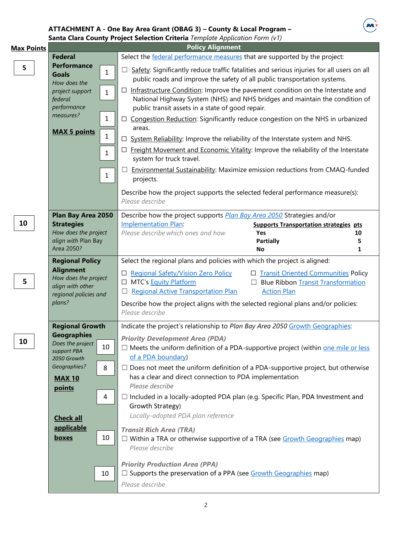## **ATTACHMENT A - One Bay Area Grant (OBAG 3) – County & Local Program –**

M

|                        | Santa Clara County Project Selection Criteria Template Application Form (v1)<br><b>Policy Alignment</b> |              |                                                                                                                                                                                  |                                               |    |
|------------------------|---------------------------------------------------------------------------------------------------------|--------------|----------------------------------------------------------------------------------------------------------------------------------------------------------------------------------|-----------------------------------------------|----|
| <b>Max Points</b>      | <b>Federal</b>                                                                                          |              | Select the federal performance measures that are supported by the project:                                                                                                       |                                               |    |
|                        | <b>Performance</b>                                                                                      |              |                                                                                                                                                                                  |                                               |    |
| 5                      | <b>Goals</b><br>How does the                                                                            | $\mathbf{1}$ | Safety: Significantly reduce traffic fatalities and serious injuries for all users on all<br>$\Box$<br>public roads and improve the safety of all public transportation systems. |                                               |    |
|                        | project support                                                                                         | $\mathbf{1}$ | Infrastructure Condition: Improve the pavement condition on the Interstate and<br>$\Box$                                                                                         |                                               |    |
|                        | federal                                                                                                 |              | National Highway System (NHS) and NHS bridges and maintain the condition of                                                                                                      |                                               |    |
|                        | performance                                                                                             |              | public transit assets in a state of good repair.                                                                                                                                 |                                               |    |
|                        | measures?                                                                                               | $\mathbf{1}$ | □ Congestion Reduction: Significantly reduce congestion on the NHS in urbanized<br>areas.                                                                                        |                                               |    |
|                        | <b>MAX 5 points</b>                                                                                     | 1            | System Reliability: Improve the reliability of the Interstate system and NHS.<br>⊔                                                                                               |                                               |    |
|                        |                                                                                                         | 1            | $\Box$ Freight Movement and Economic Vitality: Improve the reliability of the Interstate<br>system for truck travel.                                                             |                                               |    |
|                        |                                                                                                         | $\mathbf{1}$ | <b>Environmental Sustainability:</b> Maximize emission reductions from CMAQ-funded<br>ப<br>projects.                                                                             |                                               |    |
|                        |                                                                                                         |              | Describe how the project supports the selected federal performance measure(s):<br>Please describe                                                                                |                                               |    |
|                        | Plan Bay Area 2050                                                                                      |              | Describe how the project supports Plan Bay Area 2050 Strategies and/or                                                                                                           |                                               |    |
| 10                     | <b>Strategies</b>                                                                                       |              | Implementation Plan:                                                                                                                                                             | <b>Supports Transportation strategies pts</b> |    |
|                        | How does the project                                                                                    |              | Please describe which ones and how                                                                                                                                               | Yes                                           | 10 |
|                        | align with Plan Bay                                                                                     |              |                                                                                                                                                                                  | <b>Partially</b>                              | 5  |
|                        | Area 2050?                                                                                              |              |                                                                                                                                                                                  | No                                            | 1  |
|                        | <b>Regional Policy</b>                                                                                  |              | Select the regional plans and policies with which the project is aligned:                                                                                                        |                                               |    |
|                        | <b>Alignment</b><br>How does the project                                                                |              | □ Regional Safety/Vision Zero Policy                                                                                                                                             | □ Transit Oriented Communities Policy         |    |
| 5                      | align with other                                                                                        |              | MTC's <b>Equity Platform</b><br>⊔                                                                                                                                                | <b>Blue Ribbon Transit Transformation</b>     |    |
|                        | regional policies and                                                                                   |              | <b>Regional Active Transportation Plan</b><br>Ш                                                                                                                                  | <b>Action Plan</b>                            |    |
|                        | plans?                                                                                                  |              | Describe how the project aligns with the selected regional plans and/or policies:<br>Please describe                                                                             |                                               |    |
| <b>Regional Growth</b> |                                                                                                         |              | Indicate the project's relationship to Plan Bay Area 2050 Growth Geographies:                                                                                                    |                                               |    |
|                        | <b>Geographies</b>                                                                                      |              | <b>Priority Development Area (PDA)</b>                                                                                                                                           |                                               |    |
| 10                     | Does the project                                                                                        | 10           | $\Box$ Meets the uniform definition of a PDA-supportive project (within <u>one mile or less</u>                                                                                  |                                               |    |
|                        | support PBA<br>2050 Growth                                                                              |              | of a PDA boundary)                                                                                                                                                               |                                               |    |
|                        | Geographies?                                                                                            | 8            | $\Box$ Does not meet the uniform definition of a PDA-supportive project, but otherwise                                                                                           |                                               |    |
|                        |                                                                                                         |              | has a clear and direct connection to PDA implementation                                                                                                                          |                                               |    |
|                        | <b>MAX 10</b>                                                                                           |              | Please describe                                                                                                                                                                  |                                               |    |
|                        | points                                                                                                  |              |                                                                                                                                                                                  |                                               |    |
|                        |                                                                                                         | 4            | $\Box$ Included in a locally-adopted PDA plan (e.g. Specific Plan, PDA Investment and<br>Growth Strategy)                                                                        |                                               |    |
|                        |                                                                                                         |              | Locally-adopted PDA plan reference                                                                                                                                               |                                               |    |
|                        | <b>Check all</b>                                                                                        |              |                                                                                                                                                                                  |                                               |    |
|                        | applicable                                                                                              |              | <b>Transit Rich Area (TRA)</b>                                                                                                                                                   |                                               |    |
|                        | <b>boxes</b>                                                                                            | 10           | $\Box$ Within a TRA or otherwise supportive of a TRA (see $Growth Geographies$ map)                                                                                              |                                               |    |
|                        |                                                                                                         |              | Please describe                                                                                                                                                                  |                                               |    |
|                        |                                                                                                         |              | <b>Priority Production Area (PPA)</b>                                                                                                                                            |                                               |    |
|                        |                                                                                                         | 10           | $\Box$ Supports the preservation of a PPA (see $Growth Geographies$ map)                                                                                                         |                                               |    |
|                        |                                                                                                         |              |                                                                                                                                                                                  |                                               |    |
|                        |                                                                                                         |              | Please describe                                                                                                                                                                  |                                               |    |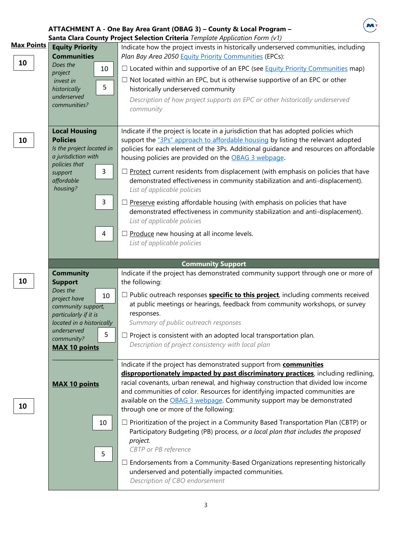## **ATTACHMENT A - One Bay Area Grant (OBAG 3) – County & Local Program –**



|                   |                                          |    | Santa Clara County Project Selection Criteria Template Application Form (v1)                   |
|-------------------|------------------------------------------|----|------------------------------------------------------------------------------------------------|
| <b>Max Points</b> | <b>Equity Priority</b>                   |    | Indicate how the project invests in historically underserved communities, including            |
|                   | <b>Communities</b>                       |    | Plan Bay Area 2050 Equity Priority Communities (EPCs):                                         |
| 10                | Does the                                 |    |                                                                                                |
|                   | project                                  | 10 | $\Box$ Located within and supportive of an EPC (see Equity Priority Communities map)           |
|                   | invest in                                |    | $\Box$ Not located within an EPC, but is otherwise supportive of an EPC or other               |
|                   | historically                             | 5  | historically underserved community                                                             |
|                   | underserved                              |    | Description of how project supports an EPC or other historically underserved                   |
|                   | communities?                             |    | community                                                                                      |
|                   |                                          |    |                                                                                                |
|                   |                                          |    |                                                                                                |
|                   | <b>Local Housing</b>                     |    | Indicate if the project is locate in a jurisdiction that has adopted policies which            |
| 10                | <b>Policies</b>                          |    | support the "3Ps" approach to affordable housing by listing the relevant adopted               |
|                   | Is the project located in                |    | policies for each element of the 3Ps. Additional guidance and resources on affordable          |
|                   | a jurisdiction with                      |    | housing policies are provided on the OBAG 3 webpage.                                           |
|                   | policies that                            |    |                                                                                                |
|                   | support                                  | 3  | Protect current residents from displacement (with emphasis on policies that have               |
|                   | affordable                               |    | demonstrated effectiveness in community stabilization and anti-displacement).                  |
|                   | housing?                                 |    | List of applicable policies                                                                    |
|                   |                                          |    |                                                                                                |
|                   |                                          | 3  | Preserve existing affordable housing (with emphasis on policies that have                      |
|                   |                                          |    | demonstrated effectiveness in community stabilization and anti-displacement).                  |
|                   |                                          |    | List of applicable policies                                                                    |
|                   |                                          |    |                                                                                                |
|                   |                                          | 4  | Produce new housing at all income levels.                                                      |
|                   |                                          |    | List of applicable policies                                                                    |
|                   |                                          |    |                                                                                                |
|                   |                                          |    |                                                                                                |
|                   |                                          |    |                                                                                                |
|                   |                                          |    | <b>Community Support</b>                                                                       |
|                   | <b>Community</b>                         |    | Indicate if the project has demonstrated community support through one or more of              |
| 10                | <b>Support</b>                           |    | the following:                                                                                 |
|                   | Does the                                 | 10 | $\Box$ Public outreach responses <b>specific to this project</b> , including comments received |
|                   | project have                             |    | at public meetings or hearings, feedback from community workshops, or survey                   |
|                   | community support,                       |    |                                                                                                |
|                   | particularly if it is                    |    | responses.                                                                                     |
|                   | located in a historically<br>underserved |    | Summary of public outreach responses                                                           |
|                   | community?                               | 5  | Project is consistent with an adopted local transportation plan.                               |
|                   |                                          |    | Description of project consistency with local plan                                             |
|                   | <b>MAX 10 points</b>                     |    |                                                                                                |
|                   |                                          |    |                                                                                                |
|                   |                                          |    | Indicate if the project has demonstrated support from <b>communities</b>                       |
|                   |                                          |    | disproportionately impacted by past discriminatory practices, including redlining,             |
|                   | <b>MAX 10 points</b>                     |    | racial covenants, urban renewal, and highway construction that divided low income              |
|                   |                                          |    | and communities of color. Resources for identifying impacted communities are                   |
|                   |                                          |    | available on the OBAG 3 webpage. Community support may be demonstrated                         |
| 10                |                                          |    | through one or more of the following:                                                          |
|                   |                                          |    |                                                                                                |
|                   |                                          | 10 | $\Box$ Prioritization of the project in a Community Based Transportation Plan (CBTP) or        |
|                   |                                          |    | Participatory Budgeting (PB) process, or a local plan that includes the proposed               |
|                   |                                          |    | project.                                                                                       |
|                   |                                          | 5  | CBTP or PB reference                                                                           |
|                   |                                          |    |                                                                                                |
|                   |                                          |    | Endorsements from a Community-Based Organizations representing historically                    |
|                   |                                          |    | underserved and potentially impacted communities.                                              |
|                   |                                          |    | Description of CBO endorsement                                                                 |